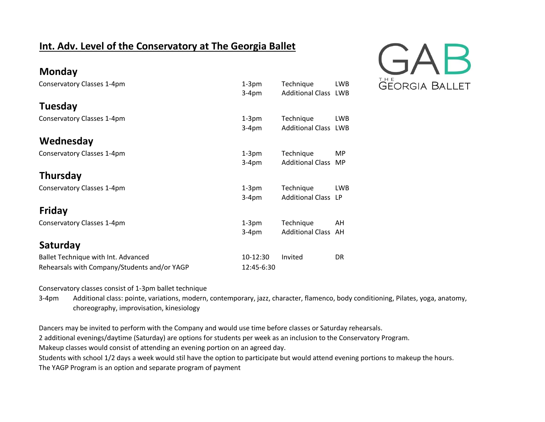## **Int. Adv. Level of the Conservatory at The Georgia Ballet**



| Conservatory Classes 1-4pm                   | $1-3pm$    | Technique                   | <b>LWB</b> |
|----------------------------------------------|------------|-----------------------------|------------|
|                                              | $3-4pm$    | <b>Additional Class LWB</b> |            |
| <b>Tuesday</b>                               |            |                             |            |
| Conservatory Classes 1-4pm                   | $1-3$ pm   | Technique                   | <b>LWB</b> |
|                                              | $3-4pm$    | <b>Additional Class LWB</b> |            |
| Wednesday                                    |            |                             |            |
| Conservatory Classes 1-4pm                   | $1-3$ pm   | Technique                   | <b>MP</b>  |
|                                              | $3-4pm$    | <b>Additional Class</b>     | MP         |
| Thursday                                     |            |                             |            |
| Conservatory Classes 1-4pm                   | $1-3$ pm   | Technique                   | <b>LWB</b> |
|                                              | $3-4pm$    | <b>Additional Class LP</b>  |            |
| <b>Friday</b>                                |            |                             |            |
| Conservatory Classes 1-4pm                   | $1-3pm$    | Technique                   | AH         |
|                                              | $3-4pm$    | <b>Additional Class</b>     | AH         |
| Saturday                                     |            |                             |            |
| Ballet Technique with Int. Advanced          | 10-12:30   | Invited                     | <b>DR</b>  |
| Rehearsals with Company/Students and/or YAGP | 12:45-6:30 |                             |            |

Conservatory classes consist of 1-3pm ballet technique

**Monday**

3-4pm Additional class: pointe, variations, modern, contemporary, jazz, character, flamenco, body conditioning, Pilates, yoga, anatomy, choreography, improvisation, kinesiology

Dancers may be invited to perform with the Company and would use time before classes or Saturday rehearsals.

2 additional evenings/daytime (Saturday) are options for students per week as an inclusion to the Conservatory Program.

Makeup classes would consist of attending an evening portion on an agreed day.

Students with school 1/2 days a week would stil have the option to participate but would attend evening portions to makeup the hours.

The YAGP Program is an option and separate program of payment